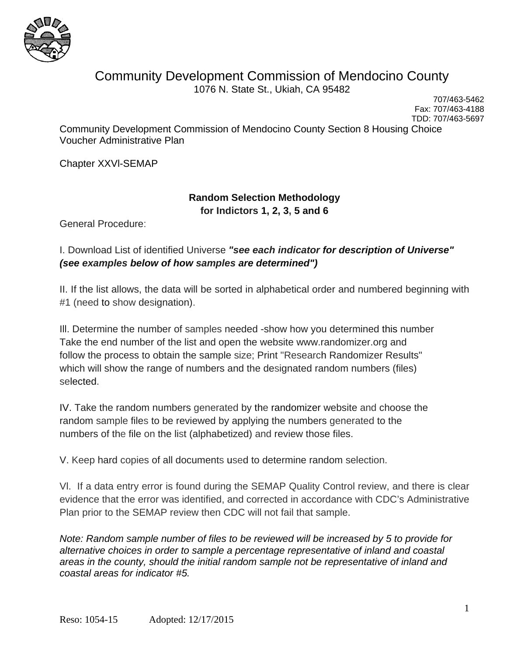

1076 N. State St., Ukiah, CA 95482

707/463-5462 Fax: 707/463-4188 TDD: 707/463-5697

Community Development Commission of Mendocino County Section 8 Housing Choice Voucher Administrative Plan

Chapter XXVl-SEMAP

#### **Random Selection Methodology for Indictors 1, 2, 3, 5 and 6**

General Procedure:

I. Download List of identified Universe *"see each indicator for description of Universe" (see examples below of how samples are determined")*

II. If the list allows, the data will be sorted in alphabetical order and numbered beginning with #1 (need to show designation).

Ill. Determine the number of samples needed -show how you determined this number Take the end number of the list and open the website www.randomizer.org and follow the process to obtain the sample size; Print "Research Randomizer Results" which will show the range of numbers and the designated random numbers (files) selected.

IV. Take the random numbers generated by the randomizer website and choose the random sample files to be reviewed by applying the numbers generated to the numbers of the file on the list (alphabetized) and review those files.

V. Keep hard copies of all documents used to determine random selection.

Vl. If a data entry error is found during the SEMAP Quality Control review, and there is clear evidence that the error was identified, and corrected in accordance with CDC's Administrative Plan prior to the SEMAP review then CDC will not fail that sample.

*Note: Random sample number of files to be reviewed will be increased by 5 to provide for alternative choices in order to sample a percentage representative of inland and coastal areas in the county, should the initial random sample not be representative of inland and coastal areas for indicator #5.*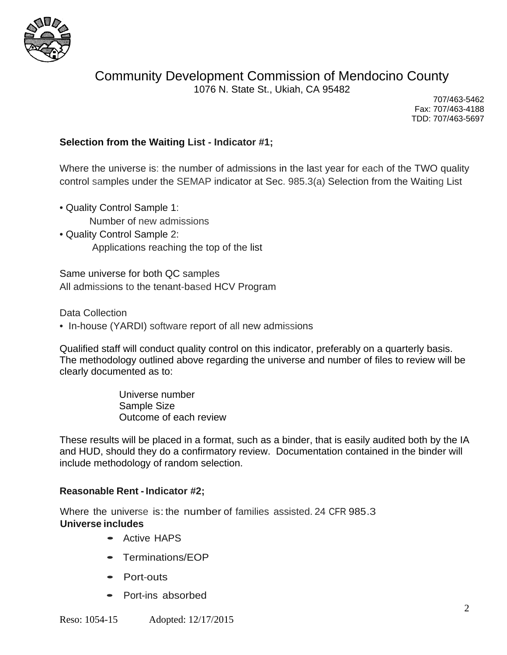

1076 N. State St., Ukiah, CA 95482

707/463-5462 Fax: 707/463-4188 TDD: 707/463-5697

#### **Selection from the Waiting List - Indicator #1;**

Where the universe is: the number of admissions in the last year for each of the TWO quality control samples under the SEMAP indicator at Sec. 985.3(a) Selection from the Waiting List

- Quality Control Sample 1: Number of new admissions
- Quality Control Sample 2: Applications reaching the top of the list

Same universe for both QC samples All admissions to the tenant-based HCV Program

Data Collection

• In-house (YARDI) software report of all new admissions

Qualified staff will conduct quality control on this indicator, preferably on a quarterly basis. The methodology outlined above regarding the universe and number of files to review will be clearly documented as to:

> Universe number Sample Size Outcome of each review

These results will be placed in a format, such as a binder, that is easily audited both by the IA and HUD, should they do a confirmatory review. Documentation contained in the binder will include methodology of random selection.

#### **Reasonable Rent - Indicator #2;**

Where the universe is:the number of families assisted. 24 CFR 985.3 **Universe includes**

- Active HAPS
- Terminations/EOP
- Port-outs
- Port-ins absorbed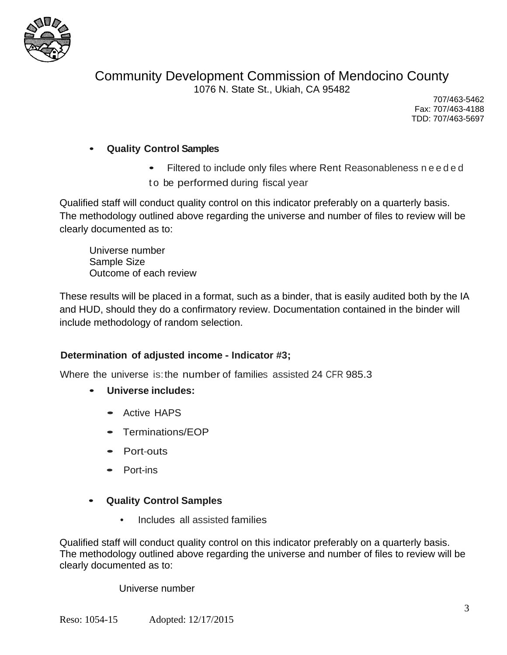

707/463-5462 Fax: 707/463-4188 TDD: 707/463-5697

#### • **Quality Control Samples**

• Filtered to include only files where Rent Reasonableness n e e d e d to be performed during fiscal year

Qualified staff will conduct quality control on this indicator preferably on a quarterly basis. The methodology outlined above regarding the universe and number of files to review will be clearly documented as to:

Universe number Sample Size Outcome of each review

These results will be placed in a format, such as a binder, that is easily audited both by the IA and HUD, should they do a confirmatory review. Documentation contained in the binder will include methodology of random selection.

#### **Determination of adjusted income - Indicator #3;**

Where the universe is:the number of families assisted 24 CFR 985.3

- **Universe includes:**
	- Active HAPS
	- Terminations/EOP
	- Port-outs
	- Port-ins
- **Quality Control Samples**
	- Includes all assisted families

Qualified staff will conduct quality control on this indicator preferably on a quarterly basis. The methodology outlined above regarding the universe and number of files to review will be clearly documented as to:

Universe number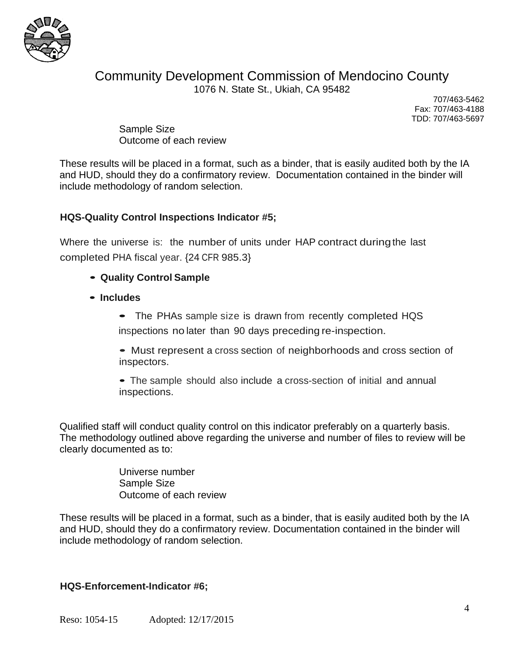

1076 N. State St., Ukiah, CA 95482

707/463-5462 Fax: 707/463-4188 TDD: 707/463-5697

 Sample Size Outcome of each review

These results will be placed in a format, such as a binder, that is easily audited both by the IA and HUD, should they do a confirmatory review. Documentation contained in the binder will include methodology of random selection.

#### **HQS-Quality Control Inspections Indicator #5;**

Where the universe is: the number of units under HAP contract during the last completed PHA fiscal year. {24 CFR 985.3}

#### • **Quality Control Sample**

• **Includes**

• The PHAs sample size is drawn from recently completed HQS inspections no later than 90 days preceding re-inspection.

• Must represent a cross section of neighborhoods and cross section of inspectors.

• The sample should also include a cross-section of initial and annual inspections.

Qualified staff will conduct quality control on this indicator preferably on a quarterly basis. The methodology outlined above regarding the universe and number of files to review will be clearly documented as to:

> Universe number Sample Size Outcome of each review

These results will be placed in a format, such as a binder, that is easily audited both by the IA and HUD, should they do a confirmatory review. Documentation contained in the binder will include methodology of random selection.

#### **HQS-Enforcement-Indicator #6;**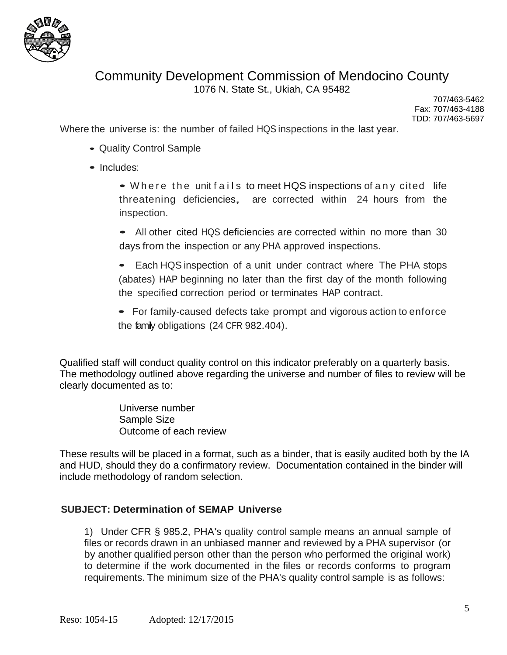

707/463-5462 Fax: 707/463-4188 TDD: 707/463-5697

Where the universe is: the number of failed HQS inspections in the last year.

- Quality Control Sample
- Includes:

• Where the unit fails to meet HQS inspections of any cited life threatening deficiencies, are corrected within 24 hours from the inspection.

• All other cited HQS deficiencies are corrected within no more than 30 days from the inspection or any PHA approved inspections.

• Each HQS inspection of a unit under contract where The PHA stops (abates) HAP beginning no later than the first day of the month following the specified correction period or terminates HAP contract.

• For family-caused defects take prompt and vigorous action to enforce the family obligations (24 CFR 982.404).

Qualified staff will conduct quality control on this indicator preferably on a quarterly basis. The methodology outlined above regarding the universe and number of files to review will be clearly documented as to:

> Universe number Sample Size Outcome of each review

These results will be placed in a format, such as a binder, that is easily audited both by the IA and HUD, should they do a confirmatory review. Documentation contained in the binder will include methodology of random selection.

#### **SUBJECT: Determination of SEMAP Universe**

1) Under CFR § 985.2, PHA's quality control sample means an annual sample of files or records drawn in an unbiased manner and reviewed by a PHA supervisor (or by another qualified person other than the person who performed the original work) to determine if the work documented in the files or records conforms to program requirements. The minimum size of the PHA's quality control sample is as follows: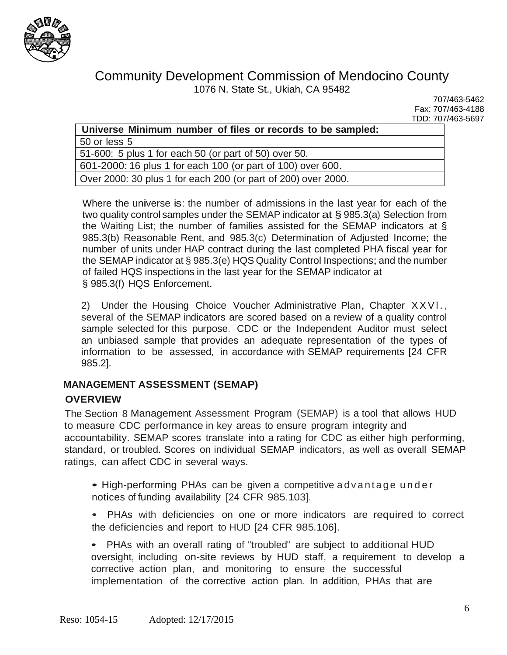

707/463-5462 Fax: 707/463-4188 TDD: 707/463-5697

| Universe Minimum number of files or records to be sampled:    |
|---------------------------------------------------------------|
| 50 or less 5                                                  |
| 51-600: 5 plus 1 for each 50 (or part of 50) over 50.         |
| 601-2000: 16 plus 1 for each 100 (or part of 100) over 600.   |
| Over 2000: 30 plus 1 for each 200 (or part of 200) over 2000. |

Where the universe is: the number of admissions in the last year for each of the two quality control samples under the SEMAP indicator at § 985.3(a) Selection from the Waiting List; the number of families assisted for the SEMAP indicators at § 985.3(b) Reasonable Rent, and 985.3(c) Determination of Adjusted Income; the number of units under HAP contract during the last completed PHA fiscal year for the SEMAP indicator at § 985.3(e) HQS Quality Control Inspections;and the number of failed HQS inspections in the last year for the SEMAP indicator at § 985.3(f) HQS Enforcement.

2) Under the Housing Choice Voucher Administrative Plan, Chapter XXVl. , several of the SEMAP indicators are scored based on a review of a quality control sample selected for this purpose. CDC or the Independent Auditor must select an unbiased sample that provides an adequate representation of the types of information to be assessed, in accordance with SEMAP requirements [24 CFR 985.2].

#### **MANAGEMENT ASSESSMENT (SEMAP)**

#### **OVERVIEW**

The Section 8 Management Assessment Program (SEMAP) is a tool that allows HUD to measure CDC performance in key areas to ensure program integrity and accountability. SEMAP scores translate into a rating for CDC as either high performing, standard, or troubled. Scores on individual SEMAP indicators, as well as overall SEMAP ratings, can affect CDC in several ways.

• High-performing PHAs can be given a competitive advantage under notices of funding availability [24 CFR 985.103].

• PHAs with deficiencies on one or more indicators are required to correct the deficiencies and report to HUD [24 CFR 985.106].

• PHAs with an overall rating of "troubled" are subject to additional HUD oversight, including on-site reviews by HUD staff, a requirement to develop a corrective action plan, and monitoring to ensure the successful implementation of the corrective action plan. In addition, PHAs that are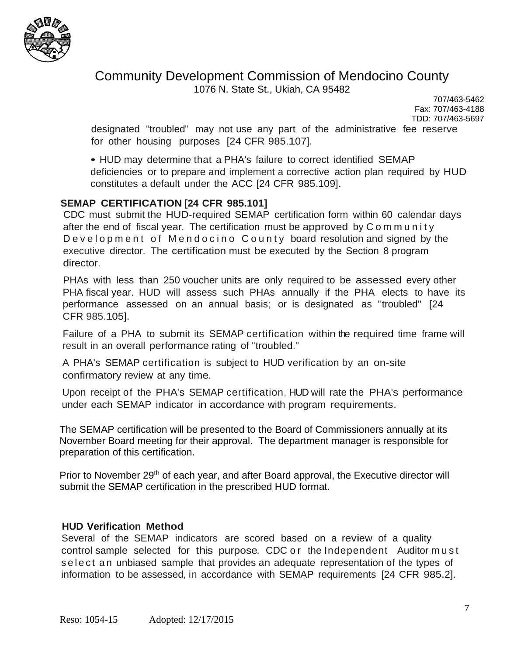

1076 N. State St., Ukiah, CA 95482

707/463-5462 Fax: 707/463-4188 TDD: 707/463-5697

designated "troubled" may not use any part of the administrative fee reserve for other housing purposes [24 CFR 985.107].

• HUD may determine that a PHA's failure to correct identified SEMAP deficiencies or to prepare and implement a corrective action plan required by HUD constitutes a default under the ACC [24 CFR 985.109].

#### **SEMAP CERTIFICATION [24 CFR 985.101]**

CDC must submit the HUD-required SEMAP certification form within 60 calendar days after the end of fiscal year. The certification must be approved by C o m m u n i t y Development of Mendocino County board resolution and signed by the executive director. The certification must be executed by the Section 8 program director.

PHAs with less than 250 voucher units are only required to be assessed every other PHA fiscal year. HUD will assess such PHAs annually if the PHA elects to have its performance assessed on an annual basis; or is designated as "troubled" [24 CFR 985.105].

Failure of a PHA to submit its SEMAP certification within the required time frame will result in an overall performance rating of "troubled."

A PHA's SEMAP certification is subject to HUD verification by an on-site confirmatory review at any time.

Upon receipt of the PHA's SEMAP certification, HUD will rate the PHA's performance under each SEMAP indicator in accordance with program requirements.

The SEMAP certification will be presented to the Board of Commissioners annually at its November Board meeting for their approval. The department manager is responsible for preparation of this certification.

Prior to November 29<sup>th</sup> of each year, and after Board approval, the Executive director will submit the SEMAP certification in the prescribed HUD format.

#### **HUD Verification Method**

Several of the SEMAP indicators are scored based on a review of a quality control sample selected for this purpose. CDC or the Independent Auditor must select an unbiased sample that provides an adequate representation of the types of information to be assessed, in accordance with SEMAP requirements [24 CFR 985.2].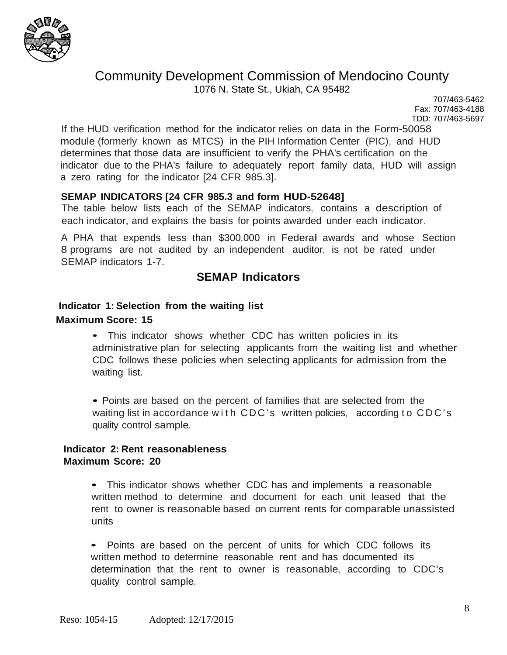

1076 N. State St., Ukiah, CA 95482

707/463-5462 Fax: 707/463-4188 TDD: 707/463-5697

If the HUD verification method for the indicator relies on data in the Form-50058 module (formerly known as MTCS) in the PIH Information Center (PIC), and HUD determines that those data are insufficient to verify the PHA's certification on the indicator due to the PHA's failure to adequately report family data, HUD will assign a zero rating for the indicator [24 CFR 985.3].

#### **SEMAP INDICATORS [24 CFR 985.3 and form HUD-52648]**

The table below lists each of the SEMAP indicators, contains a description of each indicator, and explains the basis for points awarded under each indicator.

A PHA that expends less than \$300,000 in Federal awards and whose Section 8 programs are not audited by an independent auditor, is not be rated under SEMAP indicators 1-7.

### **SEMAP Indicators**

### **Indicator 1: Selection from the waiting list Maximum Score: 15**

• This indicator shows whether CDC has written policies in its administrative plan for selecting applicants from the waiting list and whether CDC follows these policies when selecting applicants for admission from the waiting list.

• Points are based on the percent of families that are selected from the waiting list in accordance w i th CDC's written policies, according to CDC's quality control sample.

#### **Indicator 2: Rent reasonableness Maximum Score: 20**

• This indicator shows whether CDC has and implements a reasonable written method to determine and document for each unit leased that the rent to owner is reasonable based on current rents for comparable unassisted units

• Points are based on the percent of units for which CDC follows its written method to determine reasonable rent and has documented its determination that the rent to owner is reasonable, according to CDC's quality control sample.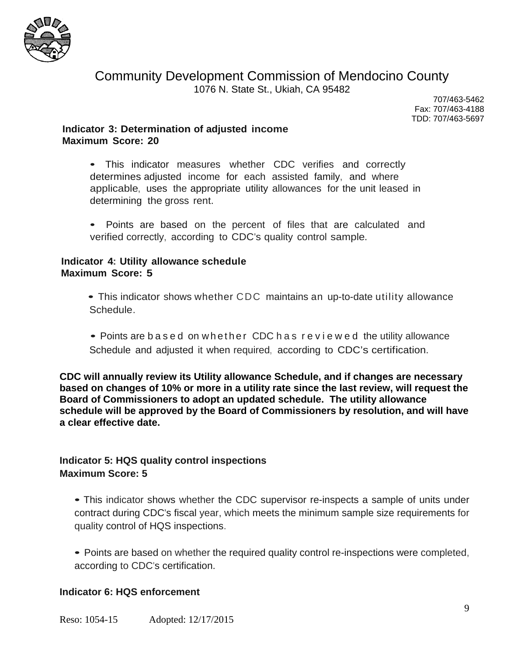

707/463-5462 Fax: 707/463-4188 TDD: 707/463-5697

#### **Indicator 3: Determination of adjusted income Maximum Score: 20**

- This indicator measures whether CDC verifies and correctly determines adjusted income for each assisted family, and where applicable, uses the appropriate utility allowances for the unit leased in determining the gross rent.
- Points are based on the percent of files that are calculated and verified correctly, according to CDC's quality control sample.

#### **Indicator 4: Utility allowance schedule Maximum Score: 5**

- This indicator shows whether CDC maintains an up-to-date utility allowance Schedule.
- Points are based on whether CDC has reviewed the utility allowance Schedule and adjusted it when required, according to CDC's certification.

**CDC will annually review its Utility allowance Schedule, and if changes are necessary based on changes of 10% or more in a utility rate since the last review, will request the Board of Commissioners to adopt an updated schedule. The utility allowance schedule will be approved by the Board of Commissioners by resolution, and will have a clear effective date.** 

#### **Indicator 5: HQS quality control inspections Maximum Score: 5**

• This indicator shows whether the CDC supervisor re-inspects a sample of units under contract during CDC's fiscal year, which meets the minimum sample size requirements for quality control of HQS inspections.

• Points are based on whether the required quality control re-inspections were completed, according to CDC's certification.

#### **Indicator 6: HQS enforcement**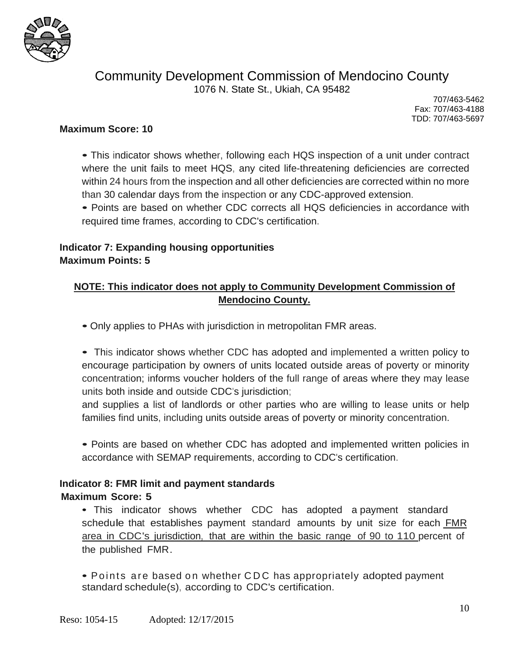

1076 N. State St., Ukiah, CA 95482

707/463-5462 Fax: 707/463-4188 TDD: 707/463-5697

#### **Maximum Score: 10**

• This indicator shows whether, following each HQS inspection of a unit under contract where the unit fails to meet HQS, any cited life-threatening deficiencies are corrected within 24 hours from the inspection and all other deficiencies are corrected within no more than 30 calendar days from the inspection or any CDC-approved extension.

• Points are based on whether CDC corrects all HQS deficiencies in accordance with required time frames, according to CDC's certification.

#### **Indicator 7: Expanding housing opportunities Maximum Points: 5**

#### **NOTE: This indicator does not apply to Community Development Commission of Mendocino County.**

- Only applies to PHAs with jurisdiction in metropolitan FMR areas.
- This indicator shows whether CDC has adopted and implemented a written policy to encourage participation by owners of units located outside areas of poverty or minority concentration; informs voucher holders of the full range of areas where they may lease units both inside and outside CDC's jurisdiction;

and supplies a list of landlords or other parties who are willing to lease units or help families find units, including units outside areas of poverty or minority concentration.

• Points are based on whether CDC has adopted and implemented written policies in accordance with SEMAP requirements, according to CDC's certification.

## **Indicator 8: FMR limit and payment standards**

#### **Maximum Score: 5**

• This indicator shows whether CDC has adopted a payment standard schedule that establishes payment standard amounts by unit size for each FMR area in CDC's jurisdiction, that are within the basic range of 90 to 110 percent of the published FMR.

• Points are based on whether CDC has appropriately adopted payment standard schedule(s), according to CDC's certification.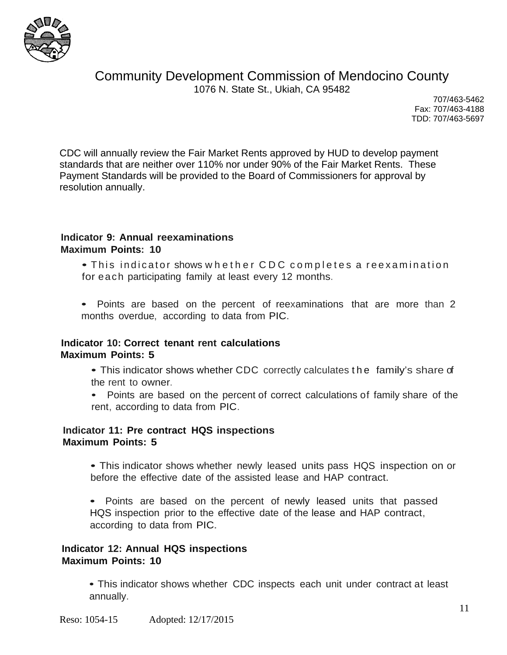

1076 N. State St., Ukiah, CA 95482

707/463-5462 Fax: 707/463-4188 TDD: 707/463-5697

CDC will annually review the Fair Market Rents approved by HUD to develop payment standards that are neither over 110% nor under 90% of the Fair Market Rents. These Payment Standards will be provided to the Board of Commissioners for approval by resolution annually.

#### **Indicator 9: Annual reexaminations Maximum Points: 10**

- This indicator shows w hether CDC completes a reexamination for each participating family at least every 12 months.
- Points are based on the percent of reexaminations that are more than 2 months overdue, according to data from PIC.

#### **Indicator 10: Correct tenant rent calculations Maximum Points: 5**

• This indicator shows whether CDC correctly calculates the family's share of the rent to owner.

• Points are based on the percent of correct calculations of family share of the rent, according to data from PIC.

#### **Indicator 11: Pre contract HQS inspections Maximum Points: 5**

• This indicator shows whether newly leased units pass HQS inspection on or before the effective date of the assisted lease and HAP contract.

• Points are based on the percent of newly leased units that passed HQS inspection prior to the effective date of the lease and HAP contract, according to data from PIC.

#### **Indicator 12: Annual HQS inspections Maximum Points: 10**

• This indicator shows whether CDC inspects each unit under contract at least annually.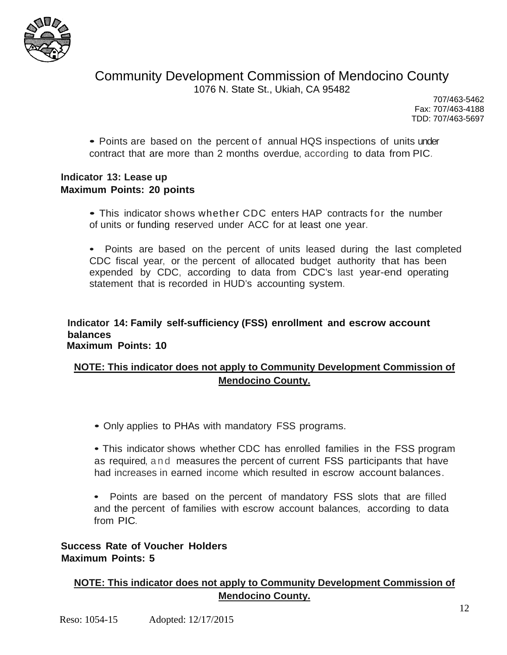

1076 N. State St., Ukiah, CA 95482

707/463-5462 Fax: 707/463-4188 TDD: 707/463-5697

• Points are based on the percent of annual HQS inspections of units under contract that are more than 2 months overdue, according to data from PIC.

#### **Indicator 13: Lease up Maximum Points: 20 points**

- This indicator shows whether CDC enters HAP contracts for the number of units or funding reserved under ACC for at least one year.
- Points are based on the percent of units leased during the last completed CDC fiscal year, or the percent of allocated budget authority that has been expended by CDC, according to data from CDC's last year-end operating statement that is recorded in HUD's accounting system.

#### **Indicator 14: Family self-sufficiency (FSS) enrollment and escrow account balances Maximum Points: 10**

#### **NOTE: This indicator does not apply to Community Development Commission of Mendocino County.**

- Only applies to PHAs with mandatory FSS programs.
- This indicator shows whether CDC has enrolled families in the FSS program as required, and measures the percent of current FSS participants that have had increases in earned income which resulted in escrow account balances.
- Points are based on the percent of mandatory FSS slots that are filled and the percent of families with escrow account balances, according to data from PIC.

#### **Success Rate of Voucher Holders Maximum Points: 5**

#### **NOTE: This indicator does not apply to Community Development Commission of Mendocino County.**